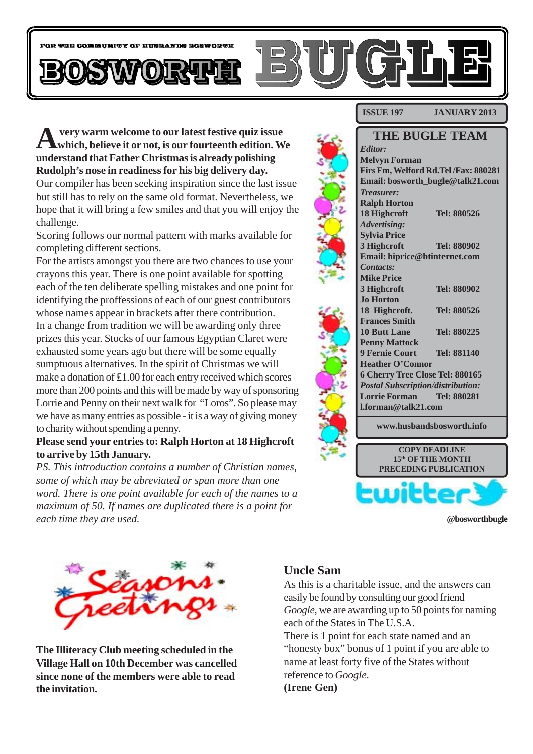

**A very warm welcome to our latest festive quiz issue which, believe it or not, is our fourteenth edition. We understand that Father Christmas is already polishing Rudolph's nose in readiness for his big delivery day.** Our compiler has been seeking inspiration since the last issue but still has to rely on the same old format. Nevertheless, we hope that it will bring a few smiles and that you will enjoy the challenge.

Scoring follows our normal pattern with marks available for completing different sections.

For the artists amongst you there are two chances to use your crayons this year. There is one point available for spotting each of the ten deliberate spelling mistakes and one point for identifying the proffessions of each of our guest contributors whose names appear in brackets after there contribution. In a change from tradition we will be awarding only three prizes this year. Stocks of our famous Egyptian Claret were exhausted some years ago but there will be some equally sumptuous alternatives. In the spirit of Christmas we will make a donation of £1.00 for each entry received which scores more than 200 points and this will be made by way of sponsoring Lorrie and Penny on their next walk for "Loros". So please may we have as many entries as possible - it is a way of giving money to charity without spending a penny.

#### **Please send your entries to: Ralph Horton at 18 Highcroft to arrive by 15th January.**

*PS. This introduction contains a number of Christian names, some of which may be abreviated or span more than one word. There is one point available for each of the names to a maximum of 50. If names are duplicated there is a point for each time they are used.*

#### **ISSUE 197 JANUARY 2013**



**@bosworthbugle**



**The Illiteracy Club meeting scheduled in the Village Hall on 10th December was cancelled since none of the members were able to read the invitation.**

#### **Uncle Sam**

As this is a charitable issue, and the answers can easily be found by consulting our good friend *Google*, we are awarding up to 50 points for naming each of the States in The U.S.A. There is 1 point for each state named and an "honesty box" bonus of 1 point if you are able to name at least forty five of the States without reference to *Google*. **(Irene Gen)**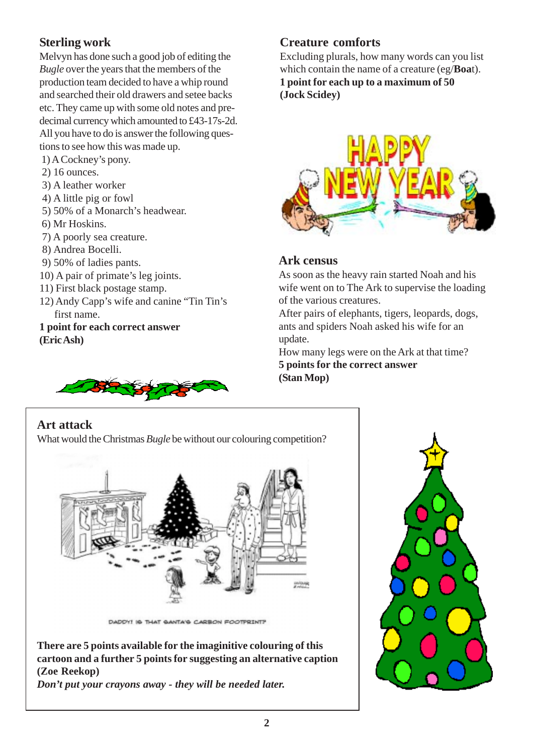# **Sterling work**

Melvyn has done such a good job of editing the *Bugle* over the years that the members of the production team decided to have a whip round and searched their old drawers and setee backs etc. They came up with some old notes and predecimal currency which amounted to £43-17s-2d. All you have to do is answer the following questions to see how this was made up.

- 1) A Cockney's pony.
- 2) 16 ounces.
- 3) A leather worker
- 4) A little pig or fowl
- 5) 50% of a Monarch's headwear.
- 6) Mr Hoskins.
- 7) A poorly sea creature.
- 8) Andrea Bocelli.
- 9) 50% of ladies pants.
- 10) A pair of primate's leg joints.
- 11) First black postage stamp.
- 12) Andy Capp's wife and canine "Tin Tin's first name.
- **1 point for each correct answer (Eric Ash)**



Excluding plurals, how many words can you list which contain the name of a creature (eg/**Boa**t). **1 point for each up to a maximum of 50 (Jock Scidey)**



#### **Ark census**

As soon as the heavy rain started Noah and his wife went on to The Ark to supervise the loading of the various creatures.

After pairs of elephants, tigers, leopards, dogs, ants and spiders Noah asked his wife for an update.

How many legs were on the Ark at that time? **5 points for the correct answer (Stan Mop)**

## **Art attack**

What would the Christmas *Bugle* be without our colouring competition?



DADDY! IS THAT SANTA'S CARBON FOOTPRINT?

**There are 5 points available for the imaginitive colouring of this cartoon and a further 5 points for suggesting an alternative caption (Zoe Reekop)**

*Don't put your crayons away - they will be needed later.*

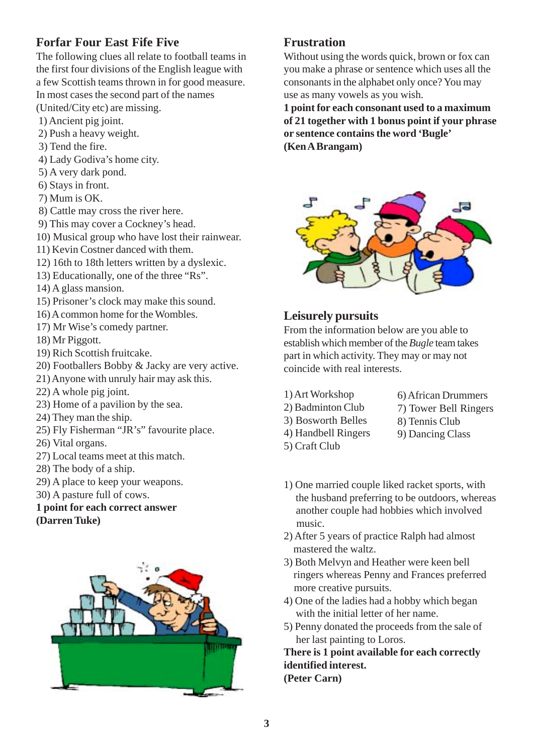## **Forfar Four East Fife Five**

The following clues all relate to football teams in the first four divisions of the English league with a few Scottish teams thrown in for good measure. In most cases the second part of the names

- (United/City etc) are missing.
- 1) Ancient pig joint.
- 2) Push a heavy weight.
- 3) Tend the fire.
- 4) Lady Godiva's home city.
- 5) A very dark pond.
- 6) Stays in front.
- 7) Mum is OK.
- 8) Cattle may cross the river here.
- 9) This may cover a Cockney's head.
- 10) Musical group who have lost their rainwear.
- 11) Kevin Costner danced with them.
- 12) 16th to 18th letters written by a dyslexic.
- 13) Educationally, one of the three "Rs".
- 14) A glass mansion.
- 15) Prisoner's clock may make this sound.
- 16) A common home for the Wombles.
- 17) Mr Wise's comedy partner.
- 18) Mr Piggott.
- 19) Rich Scottish fruitcake.
- 20) Footballers Bobby & Jacky are very active.
- 21) Anyone with unruly hair may ask this.
- 22) A whole pig joint.
- 23) Home of a pavilion by the sea.
- 24) They man the ship.
- 25) Fly Fisherman "JR's" favourite place.
- 26) Vital organs.
- 27) Local teams meet at this match.
- 28) The body of a ship.
- 29) A place to keep your weapons.
- 30) A pasture full of cows.

#### **1 point for each correct answer (Darren Tuke)**



### **Frustration**

Without using the words quick, brown or fox can you make a phrase or sentence which uses all the consonants in the alphabet only once? You may use as many vowels as you wish.

**1 point for each consonant used to a maximum of 21 together with 1 bonus point if your phrase or sentence contains the word 'Bugle' (Ken A Brangam)**



### **Leisurely pursuits**

From the information below are you able to establish which member of the *Bugle* team takes part in which activity. They may or may not coincide with real interests.

- 1) Art Workshop
- 2) Badminton Club
- 3) Bosworth Belles
- 4) Handbell Ringers
- 5) Craft Club
- 6) African Drummers 7) Tower Bell Ringers
- 8) Tennis Club
- 9) Dancing Class
- 
- 1) One married couple liked racket sports, with the husband preferring to be outdoors, whereas another couple had hobbies which involved music.
- 2) After 5 years of practice Ralph had almost mastered the waltz.
- 3) Both Melvyn and Heather were keen bell ringers whereas Penny and Frances preferred more creative pursuits.
- 4) One of the ladies had a hobby which began with the initial letter of her name.
- 5) Penny donated the proceeds from the sale of her last painting to Loros.

**There is 1 point available for each correctly identified interest. (Peter Carn)**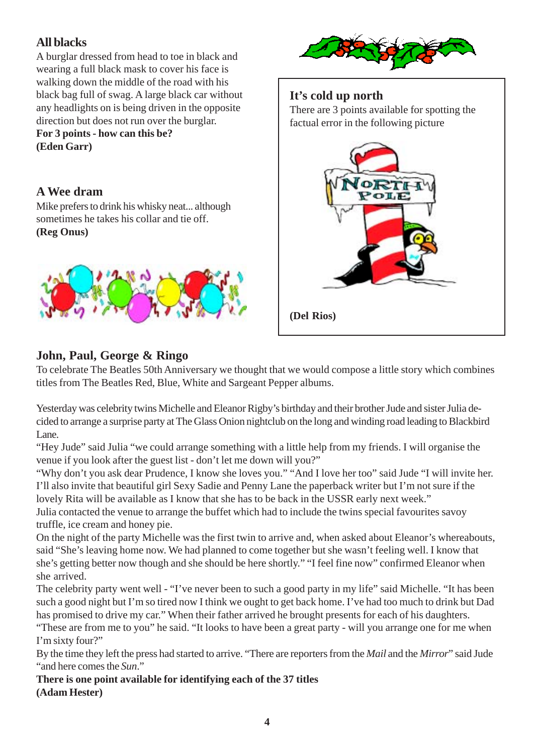# **All blacks**

A burglar dressed from head to toe in black and wearing a full black mask to cover his face is walking down the middle of the road with his black bag full of swag. A large black car without any headlights on is being driven in the opposite direction but does not run over the burglar. **For 3 points - how can this be?**

**(Eden Garr)**

### **A Wee dram**

Mike prefers to drink his whisky neat... although sometimes he takes his collar and tie off. **(Reg Onus)**





#### **It's cold up north**

There are 3 points available for spotting the factual error in the following picture



# **John, Paul, George & Ringo**

To celebrate The Beatles 50th Anniversary we thought that we would compose a little story which combines titles from The Beatles Red, Blue, White and Sargeant Pepper albums.

Yesterday was celebrity twins Michelle and Eleanor Rigby's birthday and their brother Jude and sister Julia decided to arrange a surprise party at The Glass Onion nightclub on the long and winding road leading to Blackbird Lane.

"Hey Jude" said Julia "we could arrange something with a little help from my friends. I will organise the venue if you look after the guest list - don't let me down will you?"

"Why don't you ask dear Prudence, I know she loves you." "And I love her too" said Jude "I will invite her. I'll also invite that beautiful girl Sexy Sadie and Penny Lane the paperback writer but I'm not sure if the lovely Rita will be available as I know that she has to be back in the USSR early next week."

Julia contacted the venue to arrange the buffet which had to include the twins special favourites savoy truffle, ice cream and honey pie.

On the night of the party Michelle was the first twin to arrive and, when asked about Eleanor's whereabouts, said "She's leaving home now. We had planned to come together but she wasn't feeling well. I know that she's getting better now though and she should be here shortly." "I feel fine now" confirmed Eleanor when she arrived.

The celebrity party went well - "I've never been to such a good party in my life" said Michelle. "It has been such a good night but I'm so tired now I think we ought to get back home. I've had too much to drink but Dad has promised to drive my car." When their father arrived he brought presents for each of his daughters.

"These are from me to you" he said. "It looks to have been a great party - will you arrange one for me when I'm sixty four?"

By the time they left the press had started to arrive. "There are reporters from the *Mail* and the *Mirror*" said Jude "and here comes the *Sun*."

**There is one point available for identifying each of the 37 titles (Adam Hester)**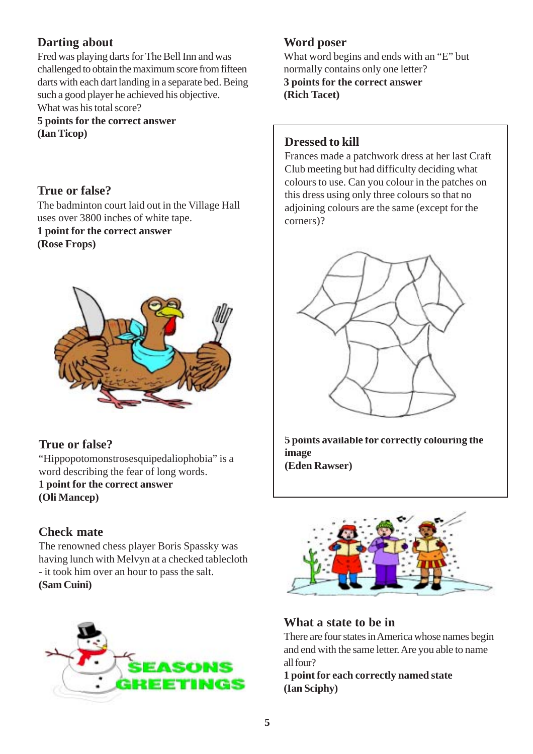## **Darting about**

Fred was playing darts for The Bell Inn and was challenged to obtain the maximum score from fifteen darts with each dart landing in a separate bed. Being such a good player he achieved his objective. What was his total score?

**5 points for the correct answer (Ian Ticop)**

**True or false?** The badminton court laid out in the Village Hall uses over 3800 inches of white tape. **1 point for the correct answer (Rose Frops)**



## **True or false?**

"Hippopotomonstrosesquipedaliophobia" is a word describing the fear of long words. **1 point for the correct answer (Oli Mancep)**

## **Check mate**

The renowned chess player Boris Spassky was having lunch with Melvyn at a checked tablecloth - it took him over an hour to pass the salt. **(Sam Cuini)**



# **Word poser**

What word begins and ends with an "E" but normally contains only one letter? **3 points for the correct answer (Rich Tacet)**

### **Dressed to kill**

Frances made a patchwork dress at her last Craft Club meeting but had difficulty deciding what colours to use. Can you colour in the patches on this dress using only three colours so that no adjoining colours are the same (except for the corners)?



**5 points available for correctly colouring the image (Eden Rawser)**



## **What a state to be in**

There are four states in America whose names begin and end with the same letter. Are you able to name all four?

**1 point for each correctly named state (Ian Sciphy)**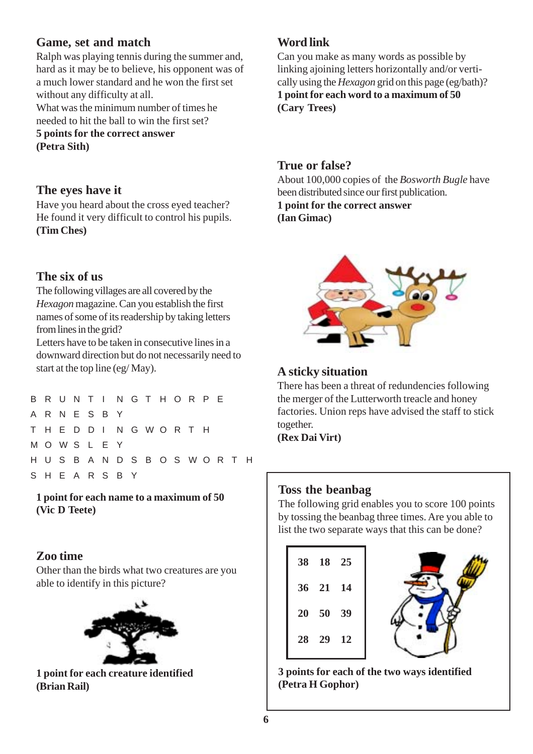#### **Game, set and match**

Ralph was playing tennis during the summer and, hard as it may be to believe, his opponent was of a much lower standard and he won the first set without any difficulty at all.

What was the minimum number of times he needed to hit the ball to win the first set? **5 points for the correct answer**

**(Petra Sith)**

#### **The eyes have it**

Have you heard about the cross eyed teacher? He found it very difficult to control his pupils. **(Tim Ches)**

### **The six of us**

The following villages are all covered by the *Hexagon* magazine. Can you establish the first names of some of its readership by taking letters from lines in the grid?

Letters have to be taken in consecutive lines in a downward direction but do not necessarily need to start at the top line (eg/ May).

|  |                 |  |  | B R U N T I N G T H O R P E     |  |  |  |  |
|--|-----------------|--|--|---------------------------------|--|--|--|--|
|  | A R N E S B Y   |  |  |                                 |  |  |  |  |
|  |                 |  |  | T H E D D I N G W O R T H       |  |  |  |  |
|  | M O W S L E Y   |  |  |                                 |  |  |  |  |
|  |                 |  |  | H U S B A N D S B O S W O R T H |  |  |  |  |
|  | S H E A R S B Y |  |  |                                 |  |  |  |  |
|  |                 |  |  |                                 |  |  |  |  |

**1 point for each name to a maximum of 50 (Vic D Teete)**

#### **Zoo time**

Other than the birds what two creatures are you able to identify in this picture?



**1 point for each creature identified (Brian Rail)**

### **Word link**

Can you make as many words as possible by linking ajoining letters horizontally and/or vertically using the *Hexagon* grid on this page (eg/bath)? **1 point for each word to a maximum of 50 (Cary Trees)**

#### **True or false?**

About 100,000 copies of the *Bosworth Bugle* have been distributed since our first publication. **1 point for the correct answer**

**(Ian Gimac)**



## **A sticky situation**

There has been a threat of redundencies following the merger of the Lutterworth treacle and honey factories. Union reps have advised the staff to stick together.

**(Rex Dai Virt)**

#### **Toss the beanbag**

The following grid enables you to score 100 points by tossing the beanbag three times. Are you able to list the two separate ways that this can be done?

| 38 18 25 |  |
|----------|--|
| 36 21 14 |  |
| 20 50 39 |  |
| 28 29 12 |  |
|          |  |



**3 points for each of the two ways identified (Petra H Gophor)**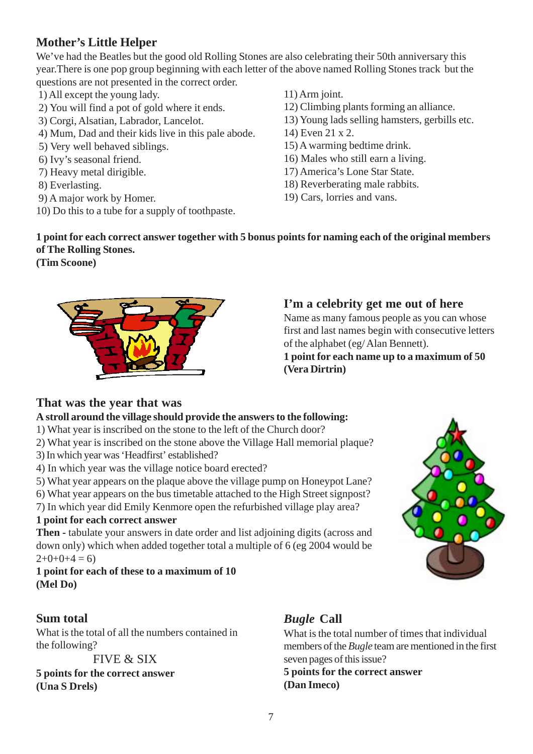# **Mother's Little Helper**

We've had the Beatles but the good old Rolling Stones are also celebrating their 50th anniversary this year.There is one pop group beginning with each letter of the above named Rolling Stones track but the questions are not presented in the correct order.

- 1) All except the young lady.
- 2) You will find a pot of gold where it ends.
- 3) Corgi, Alsatian, Labrador, Lancelot.
- 4) Mum, Dad and their kids live in this pale abode.
- 5) Very well behaved siblings.
- 6) Ivy's seasonal friend.
- 7) Heavy metal dirigible.
- 8) Everlasting.
- 9) A major work by Homer.
- 10) Do this to a tube for a supply of toothpaste.
- 11) Arm joint.
- 12) Climbing plants forming an alliance.
- 13) Young lads selling hamsters, gerbills etc.
- 14) Even 21 x 2.
- 15) A warming bedtime drink.
- 16) Males who still earn a living.
- 17) America's Lone Star State.
- 18) Reverberating male rabbits.
- 19) Cars, lorries and vans.

### **1 point for each correct answer together with 5 bonus points for naming each of the original members of The Rolling Stones.**

**(Tim Scoone)**



## **I'm a celebrity get me out of here**

Name as many famous people as you can whose first and last names begin with consecutive letters of the alphabet (eg/ Alan Bennett). **1 point for each name up to a maximum of 50 (Vera Dirtrin)**

## **That was the year that was**

#### **A stroll around the village should provide the answers to the following:**

- 1) What year is inscribed on the stone to the left of the Church door?
- 2) What year is inscribed on the stone above the Village Hall memorial plaque?
- 3) In which year was 'Headfirst' established?
- 4) In which year was the village notice board erected?
- 5) What year appears on the plaque above the village pump on Honeypot Lane?
- 6) What year appears on the bus timetable attached to the High Street signpost?

7) In which year did Emily Kenmore open the refurbished village play area?

#### **1 point for each correct answer**

**Then -** tabulate your answers in date order and list adjoining digits (across and down only) which when added together total a multiple of 6 (eg 2004 would be  $2+0+0+4=6$ 

**1 point for each of these to a maximum of 10 (Mel Do)**

## **Sum total**

What is the total of all the numbers contained in the following?

FIVE & SIX

**5 points for the correct answer (Una S Drels)**

# *Bugle* **Call**

What is the total number of times that individual members of the *Bugle* team are mentioned in the first seven pages of this issue?

**5 points for the correct answer (Dan Imeco)**